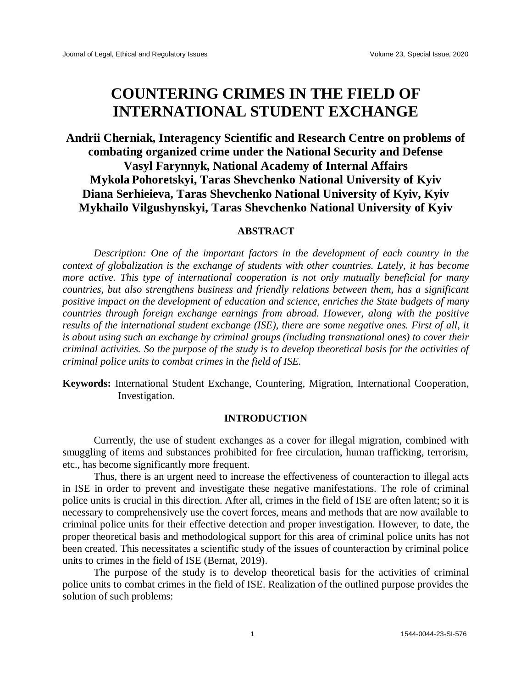# **COUNTERING CRIMES IN THE FIELD OF INTERNATIONAL STUDENT EXCHANGE**

## **Andrii Cherniak, Interagency Scientific and Research Centre on problems of combating organized crime under the National Security and Defense Vasyl Farynnyk, National Academy of Internal Affairs Mykola Pohoretskyi, Taras Shevchenko National University of Kyiv Diana Serhieieva, Taras Shevchenko National University of Kyiv, Kyiv Mykhailo Vilgushynskyi, Taras Shevchenko National University of Kyiv**

#### **ABSTRACT**

*Description: One of the important factors in the development of each country in the context of globalization is the exchange of students with other countries. Lately, it has become more active. This type of international cooperation is not only mutually beneficial for many countries, but also strengthens business and friendly relations between them, has a significant positive impact on the development of education and science, enriches the State budgets of many countries through foreign exchange earnings from abroad. However, along with the positive results of the international student exchange (ISE), there are some negative ones. First of all, it is about using such an exchange by criminal groups (including transnational ones) to cover their criminal activities. So the purpose of the study is to develop theoretical basis for the activities of criminal police units to combat crimes in the field of ISE.*

**Keywords:** International Student Exchange, Countering, Migration, International Cooperation, Investigation.

#### **INTRODUCTION**

Currently, the use of student exchanges as a cover for illegal migration, combined with smuggling of items and substances prohibited for free circulation, human trafficking, terrorism, etc., has become significantly more frequent.

Thus, there is an urgent need to increase the effectiveness of counteraction to illegal acts in ISE in order to prevent and investigate these negative manifestations. The role of criminal police units is crucial in this direction. After all, crimes in the field of ISE are often latent; so it is necessary to comprehensively use the covert forces, means and methods that are now available to criminal police units for their effective detection and proper investigation. However, to date, the proper theoretical basis and methodological support for this area of criminal police units has not been created. This necessitates a scientific study of the issues of counteraction by criminal police units to crimes in the field of ISE (Bernat, 2019).

The purpose of the study is to develop theoretical basis for the activities of criminal police units to combat crimes in the field of ISE. Realization of the outlined purpose provides the solution of such problems: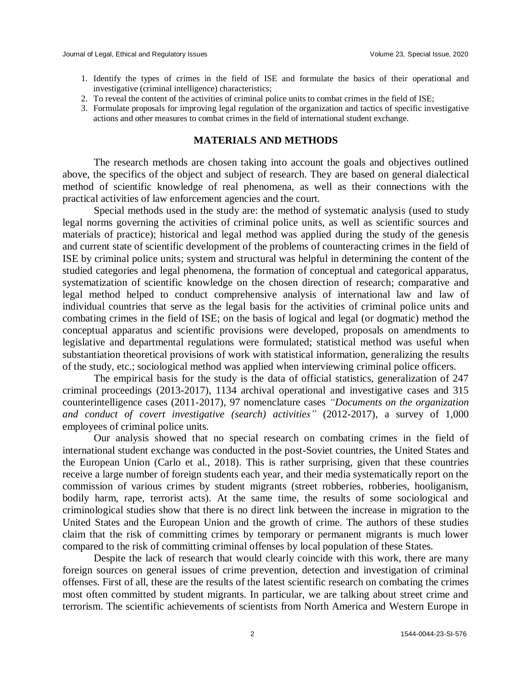- 1. Identify the types of crimes in the field of ISE and formulate the basics of their operational and investigative (criminal intelligence) characteristics;
- 2. To reveal the content of the activities of criminal police units to combat crimes in the field of ISE;
- 3. Formulate proposals for improving legal regulation of the organization and tactics of specific investigative actions and other measures to combat crimes in the field of international student exchange.

#### **MATERIALS AND METHODS**

The research methods are chosen taking into account the goals and objectives outlined above, the specifics of the object and subject of research. They are based on general dialectical method of scientific knowledge of real phenomena, as well as their connections with the practical activities of law enforcement agencies and the court.

Special methods used in the study are: the method of systematic analysis (used to study legal norms governing the activities of criminal police units, as well as scientific sources and materials of practice); historical and legal method was applied during the study of the genesis and current state of scientific development of the problems of counteracting crimes in the field of ISE by criminal police units; system and structural was helpful in determining the content of the studied categories and legal phenomena, the formation of conceptual and categorical apparatus, systematization of scientific knowledge on the chosen direction of research; comparative and legal method helped to conduct comprehensive analysis of international law and law of individual countries that serve as the legal basis for the activities of criminal police units and combating crimes in the field of ISE; on the basis of logical and legal (or dogmatic) method the conceptual apparatus and scientific provisions were developed, proposals on amendments to legislative and departmental regulations were formulated; statistical method was useful when substantiation theoretical provisions of work with statistical information, generalizing the results of the study, etc.; sociological method was applied when interviewing criminal police officers.

The empirical basis for the study is the data of official statistics, generalization of 247 criminal proceedings (2013-2017), 1134 archival operational and investigative cases and 315 counterintelligence cases (2011-2017), 97 nomenclature cases *"Documents on the organization and conduct of covert investigative (search) activities"* (2012-2017), a survey of 1,000 employees of criminal police units.

Our analysis showed that no special research on combating crimes in the field of international student exchange was conducted in the post-Soviet countries, the United States and the European Union (Carlo et al., 2018). This is rather surprising, given that these countries receive a large number of foreign students each year, and their media systematically report on the commission of various crimes by student migrants (street robberies, robberies, hooliganism, bodily harm, rape, terrorist acts). At the same time, the results of some sociological and criminological studies show that there is no direct link between the increase in migration to the United States and the European Union and the growth of crime. The authors of these studies claim that the risk of committing crimes by temporary or permanent migrants is much lower compared to the risk of committing criminal offenses by local population of these States.

Despite the lack of research that would clearly coincide with this work, there are many foreign sources on general issues of crime prevention, detection and investigation of criminal offenses. First of all, these are the results of the latest scientific research on combating the crimes most often committed by student migrants. In particular, we are talking about street crime and terrorism. The scientific achievements of scientists from North America and Western Europe in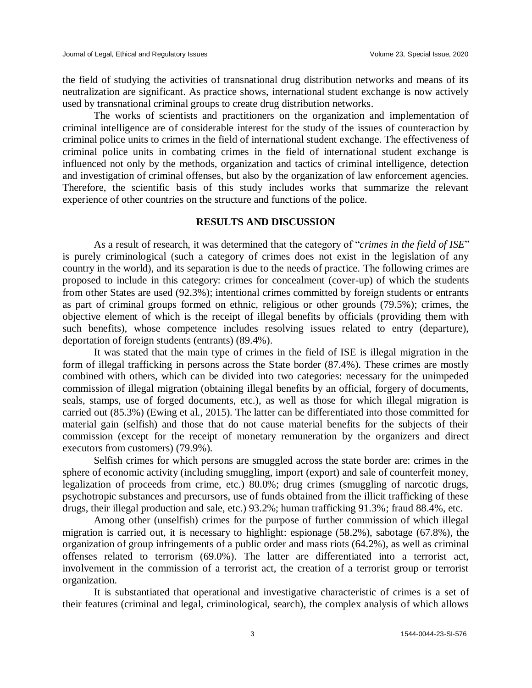the field of studying the activities of transnational drug distribution networks and means of its neutralization are significant. As practice shows, international student exchange is now actively used by transnational criminal groups to create drug distribution networks.

The works of scientists and practitioners on the organization and implementation of criminal intelligence are of considerable interest for the study of the issues of counteraction by criminal police units to crimes in the field of international student exchange. The effectiveness of criminal police units in combating crimes in the field of international student exchange is influenced not only by the methods, organization and tactics of criminal intelligence, detection and investigation of criminal offenses, but also by the organization of law enforcement agencies. Therefore, the scientific basis of this study includes works that summarize the relevant experience of other countries on the structure and functions of the police.

### **RESULTS AND DISCUSSION**

As a result of research, it was determined that the category of "*crimes in the field of ISE*" is purely criminological (such a category of crimes does not exist in the legislation of any country in the world), and its separation is due to the needs of practice. The following crimes are proposed to include in this category: crimes for concealment (cover-up) of which the students from other States are used (92.3%); intentional crimes committed by foreign students or entrants as part of criminal groups formed on ethnic, religious or other grounds (79.5%); crimes, the objective element of which is the receipt of illegal benefits by officials (providing them with such benefits), whose competence includes resolving issues related to entry (departure), deportation of foreign students (entrants) (89.4%).

It was stated that the main type of crimes in the field of ISE is illegal migration in the form of illegal trafficking in persons across the State border (87.4%). These crimes are mostly combined with others, which can be divided into two categories: necessary for the unimpeded commission of illegal migration (obtaining illegal benefits by an official, forgery of documents, seals, stamps, use of forged documents, etc.), as well as those for which illegal migration is carried out (85.3%) (Ewing et al., 2015). The latter can be differentiated into those committed for material gain (selfish) and those that do not cause material benefits for the subjects of their commission (except for the receipt of monetary remuneration by the organizers and direct executors from customers) (79.9%).

Selfish crimes for which persons are smuggled across the state border are: crimes in the sphere of economic activity (including smuggling, import (export) and sale of counterfeit money, legalization of proceeds from crime, etc.) 80.0%; drug crimes (smuggling of narcotic drugs, psychotropic substances and precursors, use of funds obtained from the illicit trafficking of these drugs, their illegal production and sale, etc.) 93.2%; human trafficking 91.3%; fraud 88.4%, etc.

Among other (unselfish) crimes for the purpose of further commission of which illegal migration is carried out, it is necessary to highlight: espionage (58.2%), sabotage (67.8%), the organization of group infringements of a public order and mass riots (64.2%), as well as criminal offenses related to terrorism (69.0%). The latter are differentiated into a terrorist act, involvement in the commission of a terrorist act, the creation of a terrorist group or terrorist organization.

It is substantiated that operational and investigative characteristic of crimes is a set of their features (criminal and legal, criminological, search), the complex analysis of which allows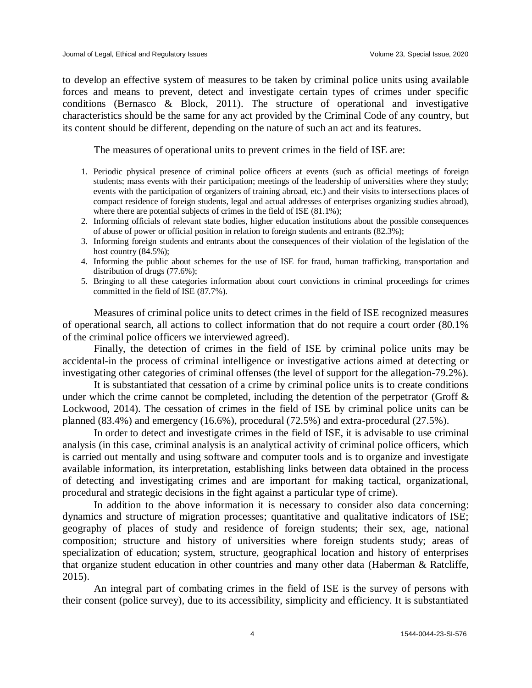to develop an effective system of measures to be taken by criminal police units using available forces and means to prevent, detect and investigate certain types of crimes under specific conditions (Bernasco & Block, 2011). The structure of operational and investigative characteristics should be the same for any act provided by the Criminal Code of any country, but its content should be different, depending on the nature of such an act and its features.

The measures of operational units to prevent crimes in the field of ISE are:

- 1. Periodic physical presence of criminal police officers at events (such as official meetings of foreign students; mass events with their participation; meetings of the leadership of universities where they study; events with the participation of organizers of training abroad, etc.) and their visits to intersections places of compact residence of foreign students, legal and actual addresses of enterprises organizing studies abroad), where there are potential subjects of crimes in the field of ISE  $(81.1\%)$ ;
- 2. Informing officials of relevant state bodies, higher education institutions about the possible consequences of abuse of power or official position in relation to foreign students and entrants (82.3%);
- 3. Informing foreign students and entrants about the consequences of their violation of the legislation of the host country  $(84.5\%)$ ;
- 4. Informing the public about schemes for the use of ISE for fraud, human trafficking, transportation and distribution of drugs (77.6%);
- 5. Bringing to all these categories information about court convictions in criminal proceedings for crimes committed in the field of ISE (87.7%).

Measures of criminal police units to detect crimes in the field of ISE recognized measures of operational search, all actions to collect information that do not require a court order (80.1% of the criminal police officers we interviewed agreed).

Finally, the detection of crimes in the field of ISE by criminal police units may be accidental-in the process of criminal intelligence or investigative actions aimed at detecting or investigating other categories of criminal offenses (the level of support for the allegation-79.2%).

It is substantiated that cessation of a crime by criminal police units is to create conditions under which the crime cannot be completed, including the detention of the perpetrator (Groff  $\&$ Lockwood, 2014). The cessation of crimes in the field of ISE by criminal police units can be planned (83.4%) and emergency (16.6%), procedural (72.5%) and extra-procedural (27.5%).

In order to detect and investigate crimes in the field of ISE, it is advisable to use criminal analysis (in this case, criminal analysis is an analytical activity of criminal police officers, which is carried out mentally and using software and computer tools and is to organize and investigate available information, its interpretation, establishing links between data obtained in the process of detecting and investigating crimes and are important for making tactical, organizational, procedural and strategic decisions in the fight against a particular type of crime).

In addition to the above information it is necessary to consider also data concerning: dynamics and structure of migration processes; quantitative and qualitative indicators of ISE; geography of places of study and residence of foreign students; their sex, age, national composition; structure and history of universities where foreign students study; areas of specialization of education; system, structure, geographical location and history of enterprises that organize student education in other countries and many other data (Haberman & Ratcliffe, 2015).

An integral part of combating crimes in the field of ISE is the survey of persons with their consent (police survey), due to its accessibility, simplicity and efficiency. It is substantiated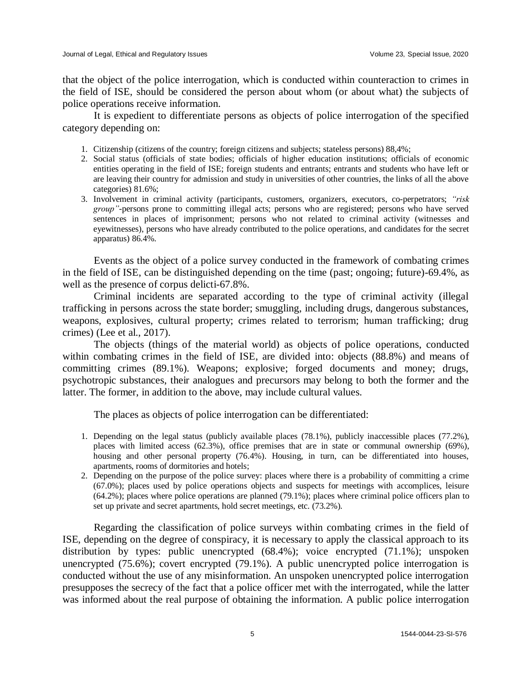that the object of the police interrogation, which is conducted within counteraction to crimes in the field of ISE, should be considered the person about whom (or about what) the subjects of police operations receive information.

It is expedient to differentiate persons as objects of police interrogation of the specified category depending on:

- 1. Citizenship (citizens of the country; foreign citizens and subjects; stateless persons) 88,4%;
- 2. Social status (officials of state bodies; officials of higher education institutions; officials of economic entities operating in the field of ISE; foreign students and entrants; entrants and students who have left or are leaving their country for admission and study in universities of other countries, the links of all the above categories) 81.6%;
- 3. Involvement in criminal activity (participants, customers, organizers, executors, co-perpetrators; *"risk group"*-persons prone to committing illegal acts; persons who are registered; persons who have served sentences in places of imprisonment; persons who not related to criminal activity (witnesses and eyewitnesses), persons who have already contributed to the police operations, and candidates for the secret apparatus) 86.4%.

Events as the object of a police survey conducted in the framework of combating crimes in the field of ISE, can be distinguished depending on the time (past; ongoing; future)-69.4%, as well as the presence of corpus delicti-67.8%.

Criminal incidents are separated according to the type of criminal activity (illegal trafficking in persons across the state border; smuggling, including drugs, dangerous substances, weapons, explosives, cultural property; crimes related to terrorism; human trafficking; drug crimes) (Lee et al., 2017).

The objects (things of the material world) as objects of police operations, conducted within combating crimes in the field of ISE, are divided into: objects (88.8%) and means of committing crimes (89.1%). Weapons; explosive; forged documents and money; drugs, psychotropic substances, their analogues and precursors may belong to both the former and the latter. The former, in addition to the above, may include cultural values.

The places as objects of police interrogation can be differentiated:

- 1. Depending on the legal status (publicly available places (78.1%), publicly inaccessible places (77.2%), places with limited access (62.3%), office premises that are in state or communal ownership (69%), housing and other personal property (76.4%). Housing, in turn, can be differentiated into houses, apartments, rooms of dormitories and hotels;
- 2. Depending on the purpose of the police survey: places where there is a probability of committing a crime (67.0%); places used by police operations objects and suspects for meetings with accomplices, leisure (64.2%); places where police operations are planned (79.1%); places where criminal police officers plan to set up private and secret apartments, hold secret meetings, etc. (73.2%).

Regarding the classification of police surveys within combating crimes in the field of ISE, depending on the degree of conspiracy, it is necessary to apply the classical approach to its distribution by types: public unencrypted (68.4%); voice encrypted (71.1%); unspoken unencrypted (75.6%); covert encrypted (79.1%). A public unencrypted police interrogation is conducted without the use of any misinformation. An unspoken unencrypted police interrogation presupposes the secrecy of the fact that a police officer met with the interrogated, while the latter was informed about the real purpose of obtaining the information. A public police interrogation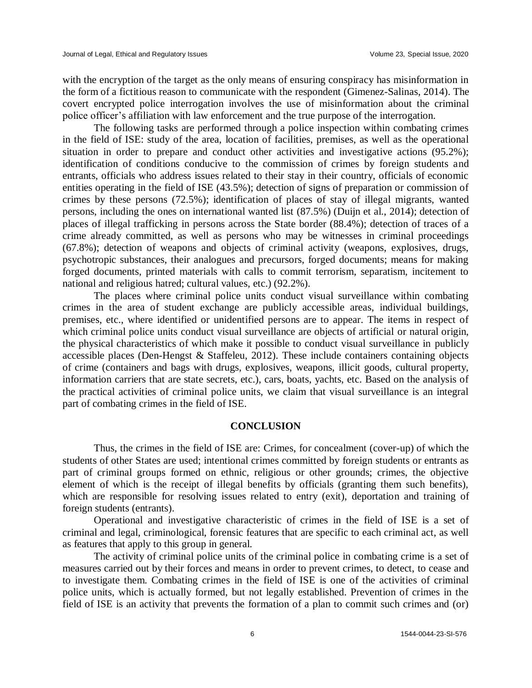with the encryption of the target as the only means of ensuring conspiracy has misinformation in the form of a fictitious reason to communicate with the respondent (Gimenez-Salinas, 2014). The covert encrypted police interrogation involves the use of misinformation about the criminal police officer's affiliation with law enforcement and the true purpose of the interrogation.

The following tasks are performed through a police inspection within combating crimes in the field of ISE: study of the area, location of facilities, premises, as well as the operational situation in order to prepare and conduct other activities and investigative actions (95.2%); identification of conditions conducive to the commission of crimes by foreign students and entrants, officials who address issues related to their stay in their country, officials of economic entities operating in the field of ISE (43.5%); detection of signs of preparation or commission of crimes by these persons (72.5%); identification of places of stay of illegal migrants, wanted persons, including the ones on international wanted list (87.5%) (Duijn et al., 2014); detection of places of illegal trafficking in persons across the State border (88.4%); detection of traces of a crime already committed, as well as persons who may be witnesses in criminal proceedings (67.8%); detection of weapons and objects of criminal activity (weapons, explosives, drugs, psychotropic substances, their analogues and precursors, forged documents; means for making forged documents, printed materials with calls to commit terrorism, separatism, incitement to national and religious hatred; cultural values, etc.) (92.2%).

The places where criminal police units conduct visual surveillance within combating crimes in the area of student exchange are publicly accessible areas, individual buildings, premises, etc., where identified or unidentified persons are to appear. The items in respect of which criminal police units conduct visual surveillance are objects of artificial or natural origin, the physical characteristics of which make it possible to conduct visual surveillance in publicly accessible places (Den-Hengst & Staffeleu, 2012). These include containers containing objects of crime (containers and bags with drugs, explosives, weapons, illicit goods, cultural property, information carriers that are state secrets, etc.), cars, boats, yachts, etc. Based on the analysis of the practical activities of criminal police units, we claim that visual surveillance is an integral part of combating crimes in the field of ISE.

#### **CONCLUSION**

Thus, the crimes in the field of ISE are: Crimes, for concealment (cover-up) of which the students of other States are used; intentional crimes committed by foreign students or entrants as part of criminal groups formed on ethnic, religious or other grounds; crimes, the objective element of which is the receipt of illegal benefits by officials (granting them such benefits), which are responsible for resolving issues related to entry (exit), deportation and training of foreign students (entrants).

Operational and investigative characteristic of crimes in the field of ISE is a set of criminal and legal, criminological, forensic features that are specific to each criminal act, as well as features that apply to this group in general.

The activity of criminal police units of the criminal police in combating crime is a set of measures carried out by their forces and means in order to prevent crimes, to detect, to cease and to investigate them. Combating crimes in the field of ISE is one of the activities of criminal police units, which is actually formed, but not legally established. Prevention of crimes in the field of ISE is an activity that prevents the formation of a plan to commit such crimes and (or)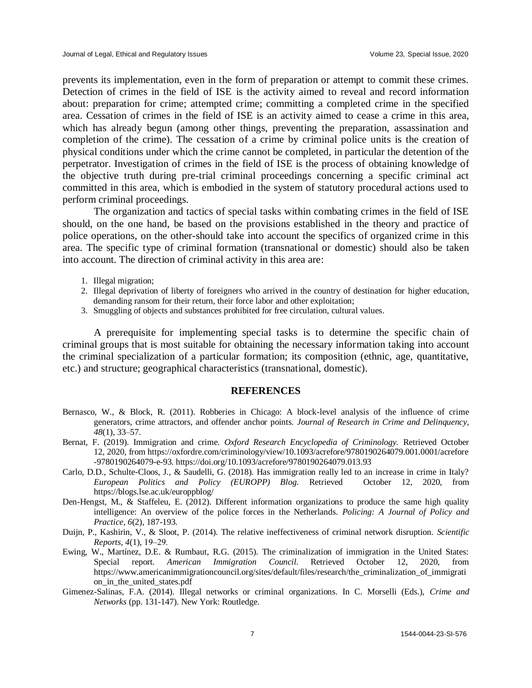prevents its implementation, even in the form of preparation or attempt to commit these crimes. Detection of crimes in the field of ISE is the activity aimed to reveal and record information about: preparation for crime; attempted crime; committing a completed crime in the specified area. Cessation of crimes in the field of ISE is an activity aimed to cease a crime in this area, which has already begun (among other things, preventing the preparation, assassination and completion of the crime). The cessation of a crime by criminal police units is the creation of physical conditions under which the crime cannot be completed, in particular the detention of the perpetrator. Investigation of crimes in the field of ISE is the process of obtaining knowledge of the objective truth during pre-trial criminal proceedings concerning a specific criminal act committed in this area, which is embodied in the system of statutory procedural actions used to perform criminal proceedings.

The organization and tactics of special tasks within combating crimes in the field of ISE should, on the one hand, be based on the provisions established in the theory and practice of police operations, on the other-should take into account the specifics of organized crime in this area. The specific type of criminal formation (transnational or domestic) should also be taken into account. The direction of criminal activity in this area are:

- 1. Illegal migration;
- 2. Illegal deprivation of liberty of foreigners who arrived in the country of destination for higher education, demanding ransom for their return, their force labor and other exploitation;
- 3. Smuggling of objects and substances prohibited for free circulation, cultural values.

A prerequisite for implementing special tasks is to determine the specific chain of criminal groups that is most suitable for obtaining the necessary information taking into account the criminal specialization of a particular formation; its composition (ethnic, age, quantitative, etc.) and structure; geographical characteristics (transnational, domestic).

#### **REFERENCES**

- Bernasco, W., & Block, R. (2011). Robberies in Chicago: A block-level analysis of the influence of crime generators, crime attractors, and offender anchor points. *Journal of Research in Crime and Delinquency, 48*(1), 33–57.
- Bernat, F. (2019). Immigration and crime. *Oxford Research Encyclopedia of Criminology.* Retrieved October 12, 2020, from https://oxfordre.com/criminology/view/10.1093/acrefore/9780190264079.001.0001/acrefore -9780190264079-e-93. https://doi.org/10.1093/acrefore/9780190264079.013.93
- Carlo, D.D., Schulte-Cloos, J., & Saudelli, G. (2018). Has immigration really led to an increase in crime in Italy? *European Politics and Policy (EUROPP) Blog.* Retrieved October 12, 2020, from https://blogs.lse.ac.uk/europpblog/
- Den-Hengst, M., & Staffeleu, E. (2012). Different information organizations to produce the same high quality intelligence: An overview of the police forces in the Netherlands. *Policing: A Journal of Policy and Practice, 6*(2), 187-193.
- Duijn, P., Kashirin, V., & Sloot, P. (2014). The relative ineffectiveness of criminal network disruption. *Scientific Reports, 4*(1), 19‒29.
- Ewing, W., Martínez, D.E. & Rumbaut, R.G. (2015). The criminalization of immigration in the United States: Special report. *American Immigration Council*. Retrieved October 12, 2020, from https://www.americanimmigrationcouncil.org/sites/default/files/research/the\_criminalization\_of\_immigrati on\_in\_the\_united\_states.pdf
- Gimenez-Salinas, F.A. (2014). Illegal networks or criminal organizations. In C. Morselli (Eds.), *Crime and Networks* (pp. 131-147). New York: Routledge.